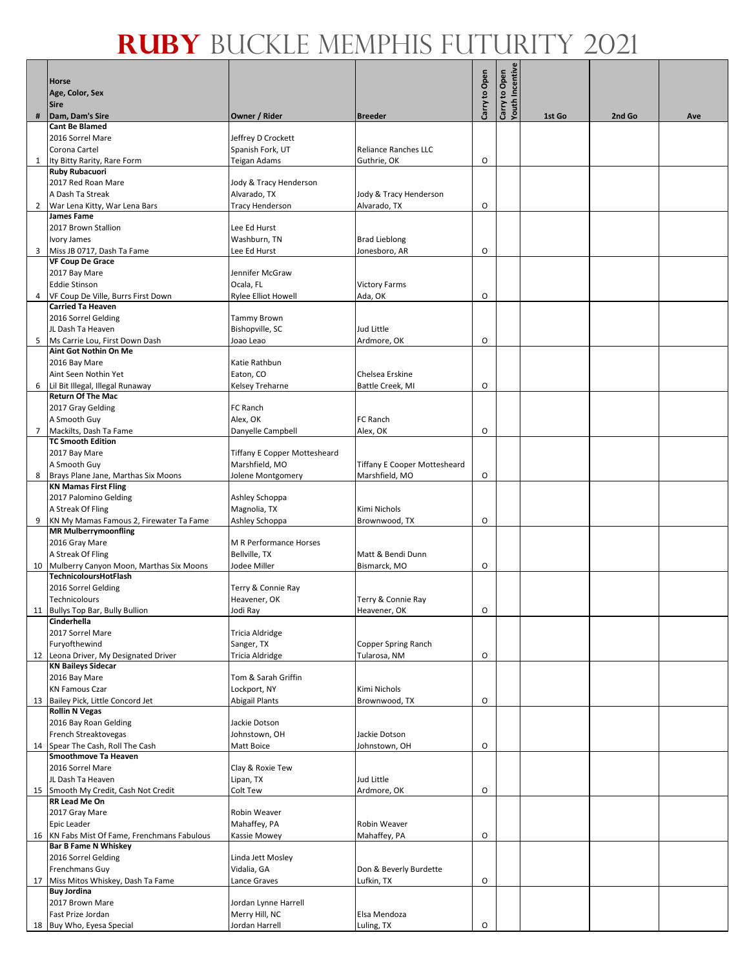|                | <b>Horse</b>                                                                |                                     |                                            |               |                                  |        |        |     |
|----------------|-----------------------------------------------------------------------------|-------------------------------------|--------------------------------------------|---------------|----------------------------------|--------|--------|-----|
|                | Age, Color, Sex                                                             |                                     |                                            | Carry to Open | Carry to Open<br>Youth Incentive |        |        |     |
| #              | <b>Sire</b><br>Dam, Dam's Sire                                              | Owner / Rider                       | <b>Breeder</b>                             |               |                                  | 1st Go | 2nd Go | Ave |
|                | <b>Cant Be Blamed</b>                                                       |                                     |                                            |               |                                  |        |        |     |
|                | 2016 Sorrel Mare                                                            | Jeffrey D Crockett                  |                                            |               |                                  |        |        |     |
|                | Corona Cartel<br>1 Ity Bitty Rarity, Rare Form                              | Spanish Fork, UT<br>Teigan Adams    | <b>Reliance Ranches LLC</b><br>Guthrie, OK | O             |                                  |        |        |     |
|                | <b>Ruby Rubacuori</b>                                                       |                                     |                                            |               |                                  |        |        |     |
|                | 2017 Red Roan Mare                                                          | Jody & Tracy Henderson              |                                            |               |                                  |        |        |     |
|                | A Dash Ta Streak                                                            | Alvarado, TX                        | Jody & Tracy Henderson                     |               |                                  |        |        |     |
| $\overline{2}$ | War Lena Kitty, War Lena Bars<br><b>James Fame</b>                          | <b>Tracy Henderson</b>              | Alvarado, TX                               | O             |                                  |        |        |     |
|                | 2017 Brown Stallion                                                         | Lee Ed Hurst                        |                                            |               |                                  |        |        |     |
|                | Ivory James                                                                 | Washburn, TN                        | <b>Brad Lieblong</b>                       |               |                                  |        |        |     |
|                | 3 Miss JB 0717, Dash Ta Fame                                                | Lee Ed Hurst                        | Jonesboro, AR                              | O             |                                  |        |        |     |
|                | <b>VF Coup De Grace</b><br>2017 Bay Mare                                    | Jennifer McGraw                     |                                            |               |                                  |        |        |     |
|                | <b>Eddie Stinson</b>                                                        | Ocala, FL                           | <b>Victory Farms</b>                       |               |                                  |        |        |     |
| 4              | VF Coup De Ville, Burrs First Down                                          | Rylee Elliot Howell                 | Ada, OK                                    | O             |                                  |        |        |     |
|                | <b>Carried Ta Heaven</b>                                                    |                                     |                                            |               |                                  |        |        |     |
|                | 2016 Sorrel Gelding<br>JL Dash Ta Heaven                                    | Tammy Brown<br>Bishopville, SC      | Jud Little                                 |               |                                  |        |        |     |
|                | 5 Ms Carrie Lou, First Down Dash                                            | Joao Leao                           | Ardmore, OK                                | O             |                                  |        |        |     |
|                | Aint Got Nothin On Me                                                       |                                     |                                            |               |                                  |        |        |     |
|                | 2016 Bay Mare                                                               | Katie Rathbun                       |                                            |               |                                  |        |        |     |
|                | Aint Seen Nothin Yet<br>6 Lil Bit Illegal, Illegal Runaway                  | Eaton, CO<br>Kelsey Treharne        | Chelsea Erskine<br>Battle Creek, MI        | O             |                                  |        |        |     |
|                | <b>Return Of The Mac</b>                                                    |                                     |                                            |               |                                  |        |        |     |
|                | 2017 Gray Gelding                                                           | FC Ranch                            |                                            |               |                                  |        |        |     |
|                | A Smooth Guy                                                                | Alex, OK                            | FC Ranch                                   |               |                                  |        |        |     |
|                | 7 Mackilts, Dash Ta Fame<br><b>TC Smooth Edition</b>                        | Danyelle Campbell                   | Alex, OK                                   | O             |                                  |        |        |     |
|                | 2017 Bay Mare                                                               | <b>Tiffany E Copper Mottesheard</b> |                                            |               |                                  |        |        |     |
|                | A Smooth Guy                                                                | Marshfield, MO                      | <b>Tiffany E Cooper Mottesheard</b>        |               |                                  |        |        |     |
|                | 8 Brays Plane Jane, Marthas Six Moons<br><b>KN Mamas First Fling</b>        | Jolene Montgomery                   | Marshfield, MO                             | O             |                                  |        |        |     |
|                | 2017 Palomino Gelding                                                       | Ashley Schoppa                      |                                            |               |                                  |        |        |     |
|                | A Streak Of Fling                                                           | Magnolia, TX                        | Kimi Nichols                               |               |                                  |        |        |     |
|                | 9 KN My Mamas Famous 2, Firewater Ta Fame                                   | Ashley Schoppa                      | Brownwood, TX                              | O             |                                  |        |        |     |
|                | <b>MR Mulberrymoonfling</b><br>2016 Gray Mare                               | <b>M R Performance Horses</b>       |                                            |               |                                  |        |        |     |
|                | A Streak Of Fling                                                           | Bellville, TX                       | Matt & Bendi Dunn                          |               |                                  |        |        |     |
|                | 10 Mulberry Canyon Moon, Marthas Six Moons                                  | Jodee Miller                        | Bismarck, MO                               | O             |                                  |        |        |     |
|                | <b>TechnicoloursHotFlash</b>                                                |                                     |                                            |               |                                  |        |        |     |
|                | 2016 Sorrel Gelding<br>Technicolours                                        | Terry & Connie Ray<br>Heavener, OK  | Terry & Connie Ray                         |               |                                  |        |        |     |
|                | 11 Bullys Top Bar, Bully Bullion                                            | Jodi Ray                            | Heavener, OK                               | О             |                                  |        |        |     |
|                | Cinderhella                                                                 |                                     |                                            |               |                                  |        |        |     |
|                | 2017 Sorrel Mare<br>Furyofthewind                                           | Tricia Aldridge<br>Sanger, TX       | Copper Spring Ranch                        |               |                                  |        |        |     |
|                | 12 Leona Driver, My Designated Driver                                       | Tricia Aldridge                     | Tularosa, NM                               | O             |                                  |        |        |     |
|                | <b>KN Baileys Sidecar</b>                                                   |                                     |                                            |               |                                  |        |        |     |
|                | 2016 Bay Mare                                                               | Tom & Sarah Griffin                 |                                            |               |                                  |        |        |     |
|                | <b>KN Famous Czar</b><br>13 Bailey Pick, Little Concord Jet                 | Lockport, NY<br>Abigail Plants      | Kimi Nichols<br>Brownwood, TX              | O             |                                  |        |        |     |
|                | <b>Rollin N Vegas</b>                                                       |                                     |                                            |               |                                  |        |        |     |
|                | 2016 Bay Roan Gelding                                                       | Jackie Dotson                       |                                            |               |                                  |        |        |     |
|                | French Streaktovegas<br>14 Spear The Cash, Roll The Cash                    | Johnstown, OH<br>Matt Boice         | Jackie Dotson<br>Johnstown, OH             | O             |                                  |        |        |     |
|                | <b>Smoothmove Ta Heaven</b>                                                 |                                     |                                            |               |                                  |        |        |     |
|                | 2016 Sorrel Mare                                                            | Clay & Roxie Tew                    |                                            |               |                                  |        |        |     |
|                | JL Dash Ta Heaven                                                           | Lipan, TX                           | Jud Little                                 |               |                                  |        |        |     |
|                | 15 Smooth My Credit, Cash Not Credit<br>RR Lead Me On                       | Colt Tew                            | Ardmore, OK                                | O             |                                  |        |        |     |
|                | 2017 Gray Mare                                                              | Robin Weaver                        |                                            |               |                                  |        |        |     |
|                | <b>Epic Leader</b>                                                          | Mahaffey, PA                        | Robin Weaver                               |               |                                  |        |        |     |
|                | 16 KN Fabs Mist Of Fame, Frenchmans Fabulous<br><b>Bar B Fame N Whiskey</b> | Kassie Mowey                        | Mahaffey, PA                               | O             |                                  |        |        |     |
|                | 2016 Sorrel Gelding                                                         | Linda Jett Mosley                   |                                            |               |                                  |        |        |     |
|                | <b>Frenchmans Guy</b>                                                       | Vidalia, GA                         | Don & Beverly Burdette                     |               |                                  |        |        |     |
|                | 17 Miss Mitos Whiskey, Dash Ta Fame                                         | Lance Graves                        | Lufkin, TX                                 | O             |                                  |        |        |     |
|                | <b>Buy Jordina</b><br>2017 Brown Mare                                       | Jordan Lynne Harrell                |                                            |               |                                  |        |        |     |
|                | Fast Prize Jordan                                                           | Merry Hill, NC                      | Elsa Mendoza                               |               |                                  |        |        |     |
|                | 18 Buy Who, Eyesa Special                                                   | Jordan Harrell                      | Luling, TX                                 | O             |                                  |        |        |     |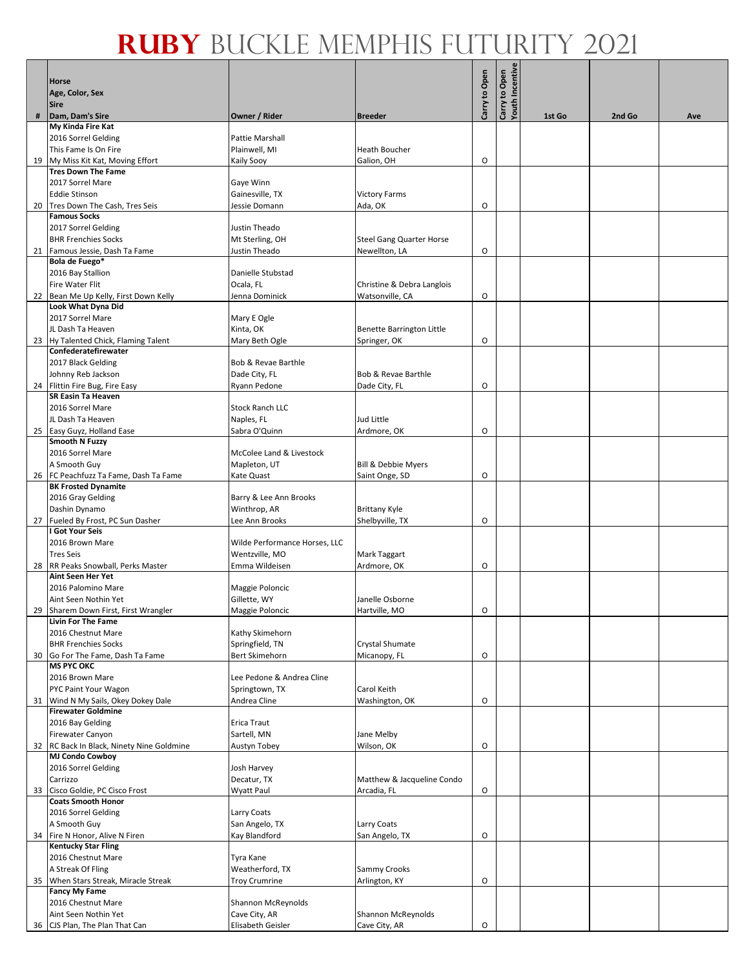|   | <b>Horse</b>                                                          |                                    |                                     | Carry to Open | Carry to Open<br>Youth Incentive |        |        |     |
|---|-----------------------------------------------------------------------|------------------------------------|-------------------------------------|---------------|----------------------------------|--------|--------|-----|
|   | Age, Color, Sex<br><b>Sire</b>                                        |                                    |                                     |               |                                  |        |        |     |
| # | Dam, Dam's Sire                                                       | Owner / Rider                      | <b>Breeder</b>                      |               |                                  | 1st Go | 2nd Go | Ave |
|   | My Kinda Fire Kat<br>2016 Sorrel Gelding                              | Pattie Marshall                    |                                     |               |                                  |        |        |     |
|   | This Fame Is On Fire                                                  | Plainwell, MI                      | Heath Boucher                       |               |                                  |        |        |     |
|   | 19 My Miss Kit Kat, Moving Effort                                     | Kaily Sooy                         | Galion, OH                          | O             |                                  |        |        |     |
|   | <b>Tres Down The Fame</b>                                             |                                    |                                     |               |                                  |        |        |     |
|   | 2017 Sorrel Mare                                                      | Gaye Winn                          |                                     |               |                                  |        |        |     |
|   | <b>Eddie Stinson</b>                                                  | Gainesville, TX                    | <b>Victory Farms</b>                |               |                                  |        |        |     |
|   | 20 Tres Down The Cash, Tres Seis                                      | Jessie Domann                      | Ada, OK                             | O             |                                  |        |        |     |
|   | <b>Famous Socks</b>                                                   |                                    |                                     |               |                                  |        |        |     |
|   | 2017 Sorrel Gelding<br><b>BHR Frenchies Socks</b>                     | Justin Theado<br>Mt Sterling, OH   | <b>Steel Gang Quarter Horse</b>     |               |                                  |        |        |     |
|   | 21 Famous Jessie, Dash Ta Fame                                        | Justin Theado                      | Newellton, LA                       | O             |                                  |        |        |     |
|   | Bola de Fuego*                                                        |                                    |                                     |               |                                  |        |        |     |
|   | 2016 Bay Stallion                                                     | Danielle Stubstad                  |                                     |               |                                  |        |        |     |
|   | <b>Fire Water Flit</b>                                                | Ocala, FL                          | Christine & Debra Langlois          |               |                                  |        |        |     |
|   | 22 Bean Me Up Kelly, First Down Kelly                                 | Jenna Dominick                     | Watsonville, CA                     | O             |                                  |        |        |     |
|   | <b>Look What Dyna Did</b><br>2017 Sorrel Mare                         | Mary E Ogle                        |                                     |               |                                  |        |        |     |
|   | JL Dash Ta Heaven                                                     | Kinta, OK                          | Benette Barrington Little           |               |                                  |        |        |     |
|   | 23 Hy Talented Chick, Flaming Talent                                  | Mary Beth Ogle                     | Springer, OK                        | O             |                                  |        |        |     |
|   | Confederatefirewater                                                  |                                    |                                     |               |                                  |        |        |     |
|   | 2017 Black Gelding                                                    | Bob & Revae Barthle                |                                     |               |                                  |        |        |     |
|   | Johnny Reb Jackson                                                    | Dade City, FL                      | Bob & Revae Barthle                 |               |                                  |        |        |     |
|   | 24 Flittin Fire Bug, Fire Easy                                        | Ryann Pedone                       | Dade City, FL                       | O             |                                  |        |        |     |
|   | <b>SR Easin Ta Heaven</b><br>2016 Sorrel Mare                         | <b>Stock Ranch LLC</b>             |                                     |               |                                  |        |        |     |
|   | JL Dash Ta Heaven                                                     | Naples, FL                         | Jud Little                          |               |                                  |        |        |     |
|   | 25 Easy Guyz, Holland Ease                                            | Sabra O'Quinn                      | Ardmore, OK                         | O             |                                  |        |        |     |
|   | Smooth N Fuzzy                                                        |                                    |                                     |               |                                  |        |        |     |
|   | 2016 Sorrel Mare                                                      | McColee Land & Livestock           |                                     |               |                                  |        |        |     |
|   | A Smooth Guy                                                          | Mapleton, UT                       | Bill & Debbie Myers                 |               |                                  |        |        |     |
|   | 26   FC Peachfuzz Ta Fame, Dash Ta Fame<br><b>BK Frosted Dynamite</b> | Kate Quast                         | Saint Onge, SD                      | O             |                                  |        |        |     |
|   | 2016 Gray Gelding                                                     | Barry & Lee Ann Brooks             |                                     |               |                                  |        |        |     |
|   | Dashin Dynamo                                                         | Winthrop, AR                       | <b>Brittany Kyle</b>                |               |                                  |        |        |     |
|   | 27 Fueled By Frost, PC Sun Dasher                                     | Lee Ann Brooks                     | Shelbyville, TX                     | O             |                                  |        |        |     |
|   | I Got Your Seis                                                       |                                    |                                     |               |                                  |        |        |     |
|   | 2016 Brown Mare                                                       | Wilde Performance Horses, LLC      |                                     |               |                                  |        |        |     |
|   | <b>Tres Seis</b><br>28 RR Peaks Snowball, Perks Master                | Wentzville, MO<br>Emma Wildeisen   | <b>Mark Taggart</b><br>Ardmore, OK  | O             |                                  |        |        |     |
|   | <b>Aint Seen Her Yet</b>                                              |                                    |                                     |               |                                  |        |        |     |
|   | 2016 Palomino Mare                                                    | Maggie Poloncic                    |                                     |               |                                  |        |        |     |
|   | Aint Seen Nothin Yet                                                  | Gillette, WY                       | Janelle Osborne                     |               |                                  |        |        |     |
|   | 29 Sharem Down First, First Wrangler                                  | Maggie Poloncic                    | Hartville, MO                       | O             |                                  |        |        |     |
|   | <b>Livin For The Fame</b><br>2016 Chestnut Mare                       | Kathy Skimehorn                    |                                     |               |                                  |        |        |     |
|   | <b>BHR Frenchies Socks</b>                                            | Springfield, TN                    | Crystal Shumate                     |               |                                  |        |        |     |
|   | 30 Go For The Fame, Dash Ta Fame                                      | Bert Skimehorn                     | Micanopy, FL                        | O             |                                  |        |        |     |
|   | <b>MS PYC OKC</b>                                                     |                                    |                                     |               |                                  |        |        |     |
|   | 2016 Brown Mare                                                       | Lee Pedone & Andrea Cline          |                                     |               |                                  |        |        |     |
|   | PYC Paint Your Wagon                                                  | Springtown, TX                     | Carol Keith                         |               |                                  |        |        |     |
|   | 31 Wind N My Sails, Okey Dokey Dale<br><b>Firewater Goldmine</b>      | Andrea Cline                       | Washington, OK                      | O             |                                  |        |        |     |
|   | 2016 Bay Gelding                                                      | Erica Traut                        |                                     |               |                                  |        |        |     |
|   | Firewater Canyon                                                      | Sartell, MN                        | Jane Melby                          |               |                                  |        |        |     |
|   | 32 RC Back In Black, Ninety Nine Goldmine                             | Austyn Tobey                       | Wilson, OK                          | O             |                                  |        |        |     |
|   | <b>MJ Condo Cowboy</b>                                                |                                    |                                     |               |                                  |        |        |     |
|   | 2016 Sorrel Gelding<br>Carrizzo                                       | Josh Harvey<br>Decatur, TX         | Matthew & Jacqueline Condo          |               |                                  |        |        |     |
|   | 33 Cisco Goldie, PC Cisco Frost                                       | Wyatt Paul                         | Arcadia, FL                         | O             |                                  |        |        |     |
|   | <b>Coats Smooth Honor</b>                                             |                                    |                                     |               |                                  |        |        |     |
|   | 2016 Sorrel Gelding                                                   | Larry Coats                        |                                     |               |                                  |        |        |     |
|   | A Smooth Guy                                                          | San Angelo, TX                     | Larry Coats                         |               |                                  |        |        |     |
|   | 34 Fire N Honor, Alive N Firen                                        | Kay Blandford                      | San Angelo, TX                      | O             |                                  |        |        |     |
|   | <b>Kentucky Star Fling</b><br>2016 Chestnut Mare                      | Tyra Kane                          |                                     |               |                                  |        |        |     |
|   | A Streak Of Fling                                                     | Weatherford, TX                    | Sammy Crooks                        |               |                                  |        |        |     |
|   | 35 When Stars Streak, Miracle Streak                                  | <b>Troy Crumrine</b>               | Arlington, KY                       | O             |                                  |        |        |     |
|   | <b>Fancy My Fame</b>                                                  |                                    |                                     |               |                                  |        |        |     |
|   | 2016 Chestnut Mare                                                    | Shannon McReynolds                 |                                     |               |                                  |        |        |     |
|   | Aint Seen Nothin Yet<br>36 CJS Plan, The Plan That Can                | Cave City, AR<br>Elisabeth Geisler | Shannon McReynolds<br>Cave City, AR | O             |                                  |        |        |     |
|   |                                                                       |                                    |                                     |               |                                  |        |        |     |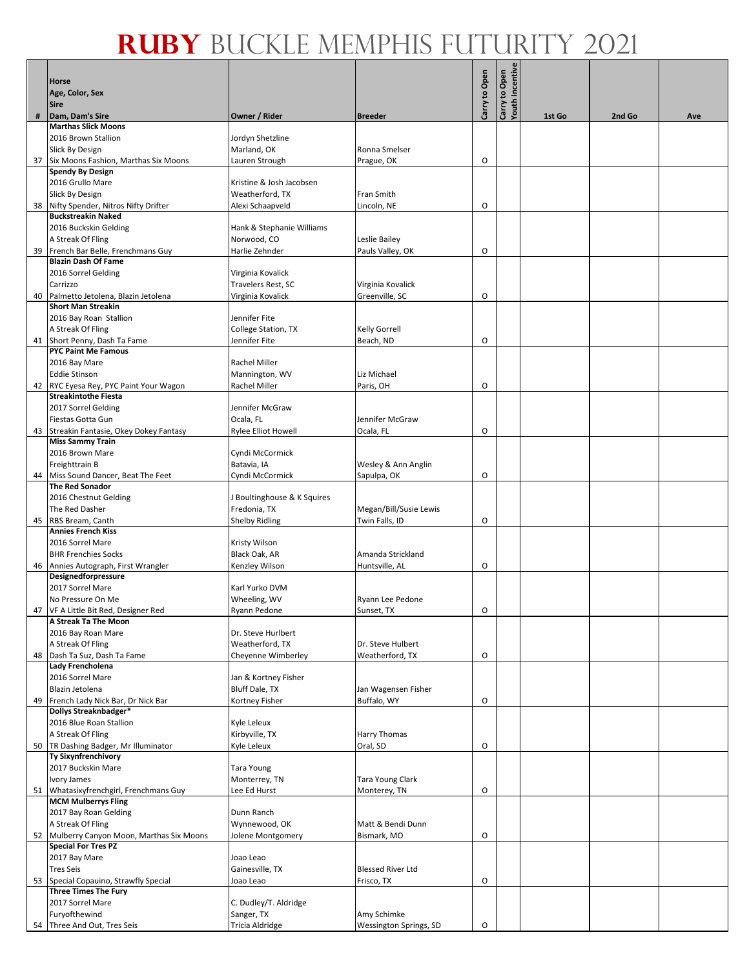|    | <b>Horse</b>                                                          |                                             |                          |               | <b>Carry to Open<br/>Youth Incentive</b> |        |        |     |
|----|-----------------------------------------------------------------------|---------------------------------------------|--------------------------|---------------|------------------------------------------|--------|--------|-----|
|    | Age, Color, Sex                                                       |                                             |                          | Carry to Open |                                          |        |        |     |
| #  | <b>Sire</b><br>Dam, Dam's Sire                                        | Owner / Rider                               | <b>Breeder</b>           |               |                                          | 1st Go | 2nd Go | Ave |
|    | <b>Marthas Slick Moons</b>                                            |                                             |                          |               |                                          |        |        |     |
|    | 2016 Brown Stallion                                                   | Jordyn Shetzline                            |                          |               |                                          |        |        |     |
|    | Slick By Design                                                       | Marland, OK                                 | Ronna Smelser            |               |                                          |        |        |     |
|    | 37 Six Moons Fashion, Marthas Six Moons                               | Lauren Strough                              | Prague, OK               | O             |                                          |        |        |     |
|    | <b>Spendy By Design</b><br>2016 Grullo Mare                           |                                             |                          |               |                                          |        |        |     |
|    |                                                                       | Kristine & Josh Jacobsen<br>Weatherford, TX | Fran Smith               |               |                                          |        |        |     |
| 38 | Slick By Design<br>Nifty Spender, Nitros Nifty Drifter                | Alexi Schaapveld                            | Lincoln, NE              | O             |                                          |        |        |     |
|    | <b>Buckstreakin Naked</b>                                             |                                             |                          |               |                                          |        |        |     |
|    | 2016 Buckskin Gelding                                                 | Hank & Stephanie Williams                   |                          |               |                                          |        |        |     |
|    | A Streak Of Fling                                                     | Norwood, CO                                 | Leslie Bailey            |               |                                          |        |        |     |
|    | 39 French Bar Belle, Frenchmans Guy                                   | Harlie Zehnder                              | Pauls Valley, OK         | O             |                                          |        |        |     |
|    | <b>Blazin Dash Of Fame</b>                                            |                                             |                          |               |                                          |        |        |     |
|    | 2016 Sorrel Gelding<br>Carrizzo                                       | Virginia Kovalick<br>Travelers Rest, SC     | Virginia Kovalick        |               |                                          |        |        |     |
|    | 40 Palmetto Jetolena, Blazin Jetolena                                 | Virginia Kovalick                           | Greenville, SC           | O             |                                          |        |        |     |
|    | <b>Short Man Streakin</b>                                             |                                             |                          |               |                                          |        |        |     |
|    | 2016 Bay Roan Stallion                                                | Jennifer Fite                               |                          |               |                                          |        |        |     |
|    | A Streak Of Fling                                                     | College Station, TX                         | Kelly Gorrell            |               |                                          |        |        |     |
|    | 41 Short Penny, Dash Ta Fame                                          | lennifer Fite                               | Beach, ND                | O             |                                          |        |        |     |
|    | <b>PYC Paint Me Famous</b>                                            |                                             |                          |               |                                          |        |        |     |
|    | 2016 Bay Mare                                                         | Rachel Miller                               |                          |               |                                          |        |        |     |
|    | <b>Eddie Stinson</b>                                                  | Mannington, WV                              | Liz Michael              |               |                                          |        |        |     |
|    | 42 RYC Eyesa Rey, PYC Paint Your Wagon<br><b>Streakintothe Fiesta</b> | Rachel Miller                               | Paris, OH                | O             |                                          |        |        |     |
|    | 2017 Sorrel Gelding                                                   | Jennifer McGraw                             |                          |               |                                          |        |        |     |
|    | Fiestas Gotta Gun                                                     | Ocala, FL                                   | Jennifer McGraw          |               |                                          |        |        |     |
|    | 43 Streakin Fantasie, Okey Dokey Fantasy                              | <b>Rylee Elliot Howell</b>                  | Ocala, FL                | $\circ$       |                                          |        |        |     |
|    | <b>Miss Sammy Train</b>                                               |                                             |                          |               |                                          |        |        |     |
|    | 2016 Brown Mare                                                       | Cyndi McCormick                             |                          |               |                                          |        |        |     |
|    | Freighttrain B                                                        | Batavia, IA                                 | Wesley & Ann Anglin      |               |                                          |        |        |     |
|    | 44 Miss Sound Dancer, Beat The Feet<br><b>The Red Sonador</b>         | Cyndi McCormick                             | Sapulpa, OK              | O             |                                          |        |        |     |
|    | 2016 Chestnut Gelding                                                 | J Boultinghouse & K Squires                 |                          |               |                                          |        |        |     |
|    | The Red Dasher                                                        | Fredonia, TX                                | Megan/Bill/Susie Lewis   |               |                                          |        |        |     |
|    | 45 RBS Bream, Canth                                                   | <b>Shelby Ridling</b>                       | Twin Falls, ID           | O             |                                          |        |        |     |
|    | <b>Annies French Kiss</b>                                             |                                             |                          |               |                                          |        |        |     |
|    | 2016 Sorrel Mare                                                      | Kristy Wilson                               |                          |               |                                          |        |        |     |
|    | <b>BHR Frenchies Socks</b>                                            | Black Oak, AR                               | Amanda Strickland        |               |                                          |        |        |     |
|    | 46 Annies Autograph, First Wrangler<br>Designedforpressure            | Kenzley Wilson                              | Huntsville, AL           | O             |                                          |        |        |     |
|    | 2017 Sorrel Mare                                                      | Karl Yurko DVM                              |                          |               |                                          |        |        |     |
|    | No Pressure On Me                                                     | Wheeling, WV                                | Ryann Lee Pedone         |               |                                          |        |        |     |
|    | 47 VF A Little Bit Red, Designer Red                                  | Ryann Pedone                                | Sunset, TX               | Ο             |                                          |        |        |     |
|    | A Streak Ta The Moon                                                  |                                             |                          |               |                                          |        |        |     |
|    | 2016 Bay Roan Mare                                                    | Dr. Steve Hurlbert                          |                          |               |                                          |        |        |     |
|    | A Streak Of Fling                                                     | Weatherford, TX                             | Dr. Steve Hulbert        |               |                                          |        |        |     |
|    | 48 Dash Ta Suz, Dash Ta Fame<br>Lady Frencholena                      | Cheyenne Wimberley                          | Weatherford, TX          | O             |                                          |        |        |     |
|    | 2016 Sorrel Mare                                                      | Jan & Kortney Fisher                        |                          |               |                                          |        |        |     |
|    | Blazin Jetolena                                                       | Bluff Dale, TX                              | Jan Wagensen Fisher      |               |                                          |        |        |     |
| 49 | French Lady Nick Bar, Dr Nick Bar                                     | Kortney Fisher                              | Buffalo, WY              | O             |                                          |        |        |     |
|    | Dollys Streaknbadger*                                                 |                                             |                          |               |                                          |        |        |     |
|    | 2016 Blue Roan Stallion                                               | Kyle Leleux                                 |                          |               |                                          |        |        |     |
|    | A Streak Of Fling                                                     | Kirbyville, TX                              | Harry Thomas             |               |                                          |        |        |     |
|    | 50 TR Dashing Badger, Mr Illuminator<br><b>Ty Sixynfrenchivory</b>    | Kyle Leleux                                 | Oral, SD                 | O             |                                          |        |        |     |
|    | 2017 Buckskin Mare                                                    | Tara Young                                  |                          |               |                                          |        |        |     |
|    | Ivory James                                                           | Monterrey, TN                               | Tara Young Clark         |               |                                          |        |        |     |
|    | 51 Whatasixyfrenchgirl, Frenchmans Guy                                | Lee Ed Hurst                                | Monterey, TN             | O             |                                          |        |        |     |
|    | <b>MCM Mulberrys Fling</b>                                            |                                             |                          |               |                                          |        |        |     |
|    | 2017 Bay Roan Gelding                                                 | Dunn Ranch                                  |                          |               |                                          |        |        |     |
|    | A Streak Of Fling                                                     | Wynnewood, OK                               | Matt & Bendi Dunn        |               |                                          |        |        |     |
|    | 52 Mulberry Canyon Moon, Marthas Six Moons                            | Jolene Montgomery                           | Bismark, MO              | $\mathsf O$   |                                          |        |        |     |
|    | <b>Special For Tres PZ</b><br>2017 Bay Mare                           | Joao Leao                                   |                          |               |                                          |        |        |     |
|    | <b>Tres Seis</b>                                                      | Gainesville, TX                             | <b>Blessed River Ltd</b> |               |                                          |        |        |     |
|    | 53 Special Copauino, Strawfly Special                                 | Joao Leao                                   | Frisco, TX               | O             |                                          |        |        |     |
|    | <b>Three Times The Fury</b>                                           |                                             |                          |               |                                          |        |        |     |
|    | 2017 Sorrel Mare                                                      | C. Dudley/T. Aldridge                       |                          |               |                                          |        |        |     |
|    | Furyofthewind                                                         | Sanger, TX                                  | Amy Schimke              |               |                                          |        |        |     |
|    | 54 Three And Out, Tres Seis                                           | Tricia Aldridge                             | Wessington Springs, SD   | $\circ$       |                                          |        |        |     |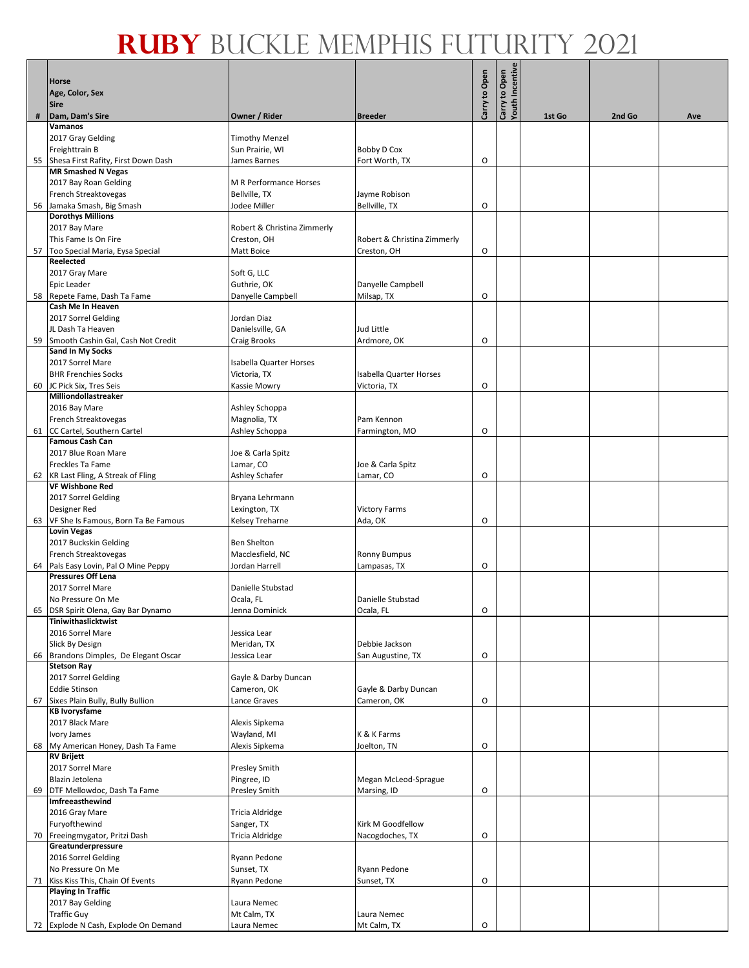|   | <b>Horse</b>                                                      |                                  |                                     | Carry to Open | Carry to Open<br>Youth Incentive |        |        |     |
|---|-------------------------------------------------------------------|----------------------------------|-------------------------------------|---------------|----------------------------------|--------|--------|-----|
|   | Age, Color, Sex<br><b>Sire</b>                                    |                                  |                                     |               |                                  |        |        |     |
| # | Dam, Dam's Sire                                                   | Owner / Rider                    | <b>Breeder</b>                      |               |                                  | 1st Go | 2nd Go | Ave |
|   | Vamanos<br>2017 Gray Gelding                                      | <b>Timothy Menzel</b>            |                                     |               |                                  |        |        |     |
|   | Freighttrain B                                                    | Sun Prairie, WI                  | Bobby D Cox                         |               |                                  |        |        |     |
|   | 55 Shesa First Rafity, First Down Dash                            | James Barnes                     | Fort Worth, TX                      | O             |                                  |        |        |     |
|   | <b>MR Smashed N Vegas</b>                                         |                                  |                                     |               |                                  |        |        |     |
|   | 2017 Bay Roan Gelding                                             | M R Performance Horses           |                                     |               |                                  |        |        |     |
|   | French Streaktovegas<br>56 Jamaka Smash, Big Smash                | Bellville, TX<br>Jodee Miller    | Jayme Robison<br>Bellville, TX      | O             |                                  |        |        |     |
|   | <b>Dorothys Millions</b>                                          |                                  |                                     |               |                                  |        |        |     |
|   | 2017 Bay Mare                                                     | Robert & Christina Zimmerly      |                                     |               |                                  |        |        |     |
|   | This Fame Is On Fire                                              | Creston, OH                      | Robert & Christina Zimmerly         |               |                                  |        |        |     |
|   | 57   Too Special Maria, Eysa Special<br>Reelected                 | Matt Boice                       | Creston, OH                         | O             |                                  |        |        |     |
|   | 2017 Gray Mare                                                    | Soft G, LLC                      |                                     |               |                                  |        |        |     |
|   | Epic Leader                                                       | Guthrie, OK                      | Danyelle Campbell                   |               |                                  |        |        |     |
|   | 58 Repete Fame, Dash Ta Fame                                      | Danyelle Campbell                | Milsap, TX                          | O             |                                  |        |        |     |
|   | Cash Me In Heaven                                                 |                                  |                                     |               |                                  |        |        |     |
|   | 2017 Sorrel Gelding<br>JL Dash Ta Heaven                          | Jordan Diaz<br>Danielsville, GA  | Jud Little                          |               |                                  |        |        |     |
|   | 59 Smooth Cashin Gal, Cash Not Credit                             | Craig Brooks                     | Ardmore, OK                         | O             |                                  |        |        |     |
|   | <b>Sand In My Socks</b>                                           |                                  |                                     |               |                                  |        |        |     |
|   | 2017 Sorrel Mare                                                  | <b>Isabella Quarter Horses</b>   |                                     |               |                                  |        |        |     |
|   | <b>BHR Frenchies Socks</b>                                        | Victoria, TX                     | <b>Isabella Quarter Horses</b>      |               |                                  |        |        |     |
|   | 60 JC Pick Six, Tres Seis<br>Milliondollastreaker                 | Kassie Mowry                     | Victoria, TX                        | O             |                                  |        |        |     |
|   | 2016 Bay Mare                                                     | Ashley Schoppa                   |                                     |               |                                  |        |        |     |
|   | French Streaktovegas                                              | Magnolia, TX                     | Pam Kennon                          |               |                                  |        |        |     |
|   | 61 CC Cartel, Southern Cartel                                     | Ashley Schoppa                   | Farmington, MO                      | O             |                                  |        |        |     |
|   | <b>Famous Cash Can</b><br>2017 Blue Roan Mare                     | Joe & Carla Spitz                |                                     |               |                                  |        |        |     |
|   | Freckles Ta Fame                                                  | Lamar, CO                        | Joe & Carla Spitz                   |               |                                  |        |        |     |
|   | 62 KR Last Fling, A Streak of Fling                               | Ashley Schafer                   | Lamar, CO                           | O             |                                  |        |        |     |
|   | <b>VF Wishbone Red</b>                                            |                                  |                                     |               |                                  |        |        |     |
|   | 2017 Sorrel Gelding                                               | Bryana Lehrmann                  |                                     |               |                                  |        |        |     |
|   | Designer Red<br>63 VF She Is Famous, Born Ta Be Famous            | Lexington, TX<br>Kelsey Treharne | <b>Victory Farms</b><br>Ada, OK     | O             |                                  |        |        |     |
|   | <b>Lovin Vegas</b>                                                |                                  |                                     |               |                                  |        |        |     |
|   | 2017 Buckskin Gelding                                             | <b>Ben Shelton</b>               |                                     |               |                                  |        |        |     |
|   | French Streaktovegas                                              | Macclesfield, NC                 | <b>Ronny Bumpus</b>                 |               |                                  |        |        |     |
|   | 64 Pals Easy Lovin, Pal O Mine Peppy<br><b>Pressures Off Lena</b> | Jordan Harrell                   | Lampasas, TX                        | O             |                                  |        |        |     |
|   | 2017 Sorrel Mare                                                  | Danielle Stubstad                |                                     |               |                                  |        |        |     |
|   | No Pressure On Me                                                 | Ocala, FL                        | Danielle Stubstad                   |               |                                  |        |        |     |
|   | 65 DSR Spirit Olena, Gay Bar Dynamo                               | Jenna Dominick                   | Ocala, FL                           | 0             |                                  |        |        |     |
|   | Tiniwithaslicktwist<br>2016 Sorrel Mare                           |                                  |                                     |               |                                  |        |        |     |
|   | Slick By Design                                                   | Jessica Lear<br>Meridan, TX      | Debbie Jackson                      |               |                                  |        |        |     |
|   | 66 Brandons Dimples, De Elegant Oscar                             | Jessica Lear                     | San Augustine, TX                   | O             |                                  |        |        |     |
|   | <b>Stetson Ray</b>                                                |                                  |                                     |               |                                  |        |        |     |
|   | 2017 Sorrel Gelding<br><b>Eddie Stinson</b>                       | Gayle & Darby Duncan             |                                     |               |                                  |        |        |     |
|   | 67 Sixes Plain Bully, Bully Bullion                               | Cameron, OK<br>Lance Graves      | Gayle & Darby Duncan<br>Cameron, OK | O             |                                  |        |        |     |
|   | <b>KB Ivorysfame</b>                                              |                                  |                                     |               |                                  |        |        |     |
|   | 2017 Black Mare                                                   | Alexis Sipkema                   |                                     |               |                                  |        |        |     |
|   | Ivory James                                                       | Wayland, MI                      | K & K Farms                         |               |                                  |        |        |     |
|   | 68 My American Honey, Dash Ta Fame<br><b>RV Brijett</b>           | Alexis Sipkema                   | Joelton, TN                         | O             |                                  |        |        |     |
|   | 2017 Sorrel Mare                                                  | Presley Smith                    |                                     |               |                                  |        |        |     |
|   | Blazin Jetolena                                                   | Pingree, ID                      | Megan McLeod-Sprague                |               |                                  |        |        |     |
|   | 69 DTF Mellowdoc, Dash Ta Fame                                    | Presley Smith                    | Marsing, ID                         | O             |                                  |        |        |     |
|   | Imfreeasthewind<br>2016 Gray Mare                                 | Tricia Aldridge                  |                                     |               |                                  |        |        |     |
|   | Furyofthewind                                                     | Sanger, TX                       | Kirk M Goodfellow                   |               |                                  |        |        |     |
|   | 70 Freeingmygator, Pritzi Dash                                    | Tricia Aldridge                  | Nacogdoches, TX                     | O             |                                  |        |        |     |
|   | Greatunderpressure                                                |                                  |                                     |               |                                  |        |        |     |
|   | 2016 Sorrel Gelding                                               | Ryann Pedone                     |                                     |               |                                  |        |        |     |
|   | No Pressure On Me<br>71 Kiss Kiss This, Chain Of Events           | Sunset, TX<br>Ryann Pedone       | Ryann Pedone<br>Sunset, TX          | O             |                                  |        |        |     |
|   | <b>Playing In Traffic</b>                                         |                                  |                                     |               |                                  |        |        |     |
|   | 2017 Bay Gelding                                                  | Laura Nemec                      |                                     |               |                                  |        |        |     |
|   | <b>Traffic Guy</b>                                                | Mt Calm, TX                      | Laura Nemec                         |               |                                  |        |        |     |
|   | 72 Explode N Cash, Explode On Demand                              | Laura Nemec                      | Mt Calm, TX                         | O             |                                  |        |        |     |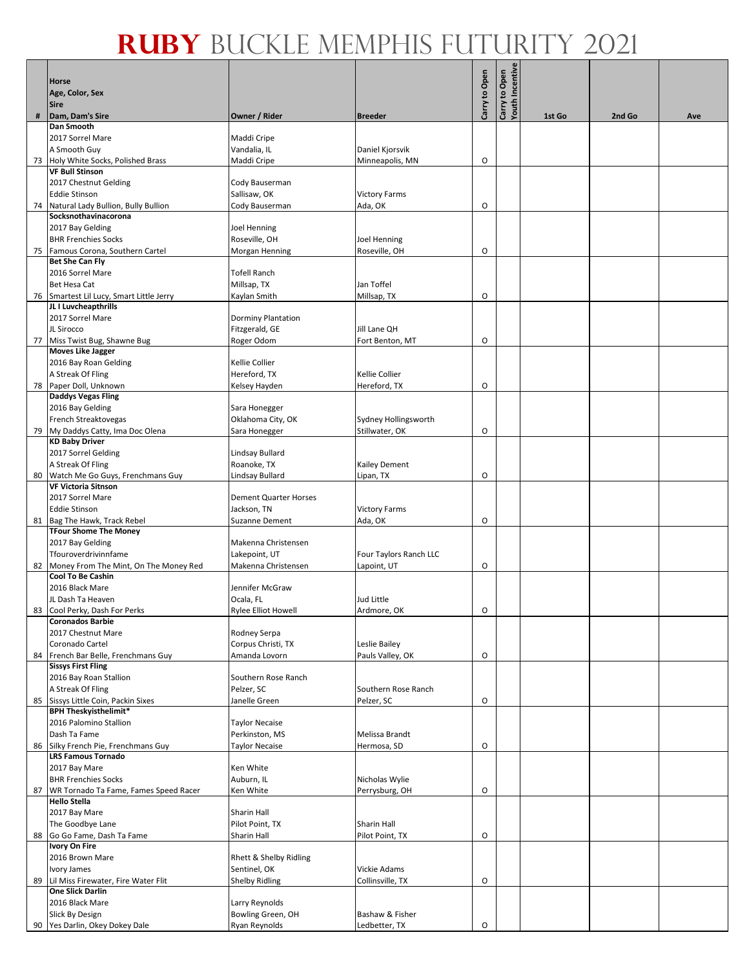|    | <b>Horse</b>                                                     |                                      |                                |               | Youth Incentive |        |        |     |
|----|------------------------------------------------------------------|--------------------------------------|--------------------------------|---------------|-----------------|--------|--------|-----|
|    | Age, Color, Sex<br>Sire                                          |                                      |                                | Carry to Open | Carry to Open   |        |        |     |
| #  | Dam, Dam's Sire                                                  | Owner / Rider                        | <b>Breeder</b>                 |               |                 | 1st Go | 2nd Go | Ave |
|    | <b>Dan Smooth</b>                                                |                                      |                                |               |                 |        |        |     |
|    | 2017 Sorrel Mare<br>A Smooth Guy                                 | Maddi Cripe<br>Vandalia, IL          | Daniel Kjorsvik                |               |                 |        |        |     |
|    | 73 Holy White Socks, Polished Brass                              | Maddi Cripe                          | Minneapolis, MN                | O             |                 |        |        |     |
|    | <b>VF Bull Stinson</b>                                           |                                      |                                |               |                 |        |        |     |
|    | 2017 Chestnut Gelding                                            | Cody Bauserman                       |                                |               |                 |        |        |     |
|    | <b>Eddie Stinson</b>                                             | Sallisaw, OK                         | <b>Victory Farms</b>           |               |                 |        |        |     |
| 74 | Natural Lady Bullion, Bully Bullion                              | Cody Bauserman                       | Ada, OK                        | O             |                 |        |        |     |
|    | Socksnothavinacorona                                             |                                      |                                |               |                 |        |        |     |
|    | 2017 Bay Gelding<br><b>BHR Frenchies Socks</b>                   | <b>Joel Henning</b><br>Roseville, OH | <b>Joel Henning</b>            |               |                 |        |        |     |
|    | 75 Famous Corona, Southern Cartel                                | Morgan Henning                       | Roseville, OH                  | O             |                 |        |        |     |
|    | <b>Bet She Can Fly</b>                                           |                                      |                                |               |                 |        |        |     |
|    | 2016 Sorrel Mare                                                 | <b>Tofell Ranch</b>                  |                                |               |                 |        |        |     |
|    | <b>Bet Hesa Cat</b>                                              | Millsap, TX                          | Jan Toffel                     |               |                 |        |        |     |
|    | 76 Smartest Lil Lucy, Smart Little Jerry<br>JL I Luvcheapthrills | Kaylan Smith                         | Millsap, TX                    | O             |                 |        |        |     |
|    | 2017 Sorrel Mare                                                 | Dorminy Plantation                   |                                |               |                 |        |        |     |
|    | JL Sirocco                                                       | Fitzgerald, GE                       | Jill Lane OH                   |               |                 |        |        |     |
|    | 77 Miss Twist Bug, Shawne Bug                                    | Roger Odom                           | Fort Benton, MT                | O             |                 |        |        |     |
|    | <b>Moves Like Jagger</b>                                         |                                      |                                |               |                 |        |        |     |
|    | 2016 Bay Roan Gelding                                            | Kellie Collier                       |                                |               |                 |        |        |     |
|    | A Streak Of Fling<br>78 Paper Doll, Unknown                      | Hereford, TX                         | Kellie Collier                 | O             |                 |        |        |     |
|    | <b>Daddys Vegas Fling</b>                                        | Kelsey Hayden                        | Hereford, TX                   |               |                 |        |        |     |
|    | 2016 Bay Gelding                                                 | Sara Honegger                        |                                |               |                 |        |        |     |
|    | French Streaktovegas                                             | Oklahoma City, OK                    | Sydney Hollingsworth           |               |                 |        |        |     |
|    | 79 My Daddys Catty, Ima Doc Olena                                | Sara Honegger                        | Stillwater, OK                 | O             |                 |        |        |     |
|    | <b>KD Baby Driver</b>                                            |                                      |                                |               |                 |        |        |     |
|    | 2017 Sorrel Gelding<br>A Streak Of Fling                         | Lindsay Bullard<br>Roanoke, TX       | Kailey Dement                  |               |                 |        |        |     |
|    | 80 Watch Me Go Guys, Frenchmans Guy                              | Lindsay Bullard                      | Lipan, TX                      | O             |                 |        |        |     |
|    | <b>VF Victoria Sitnson</b>                                       |                                      |                                |               |                 |        |        |     |
|    | 2017 Sorrel Mare                                                 | <b>Dement Quarter Horses</b>         |                                |               |                 |        |        |     |
|    | <b>Eddie Stinson</b>                                             | Jackson, TN                          | <b>Victory Farms</b>           |               |                 |        |        |     |
|    | 81 Bag The Hawk, Track Rebel                                     | Suzanne Dement                       | Ada, OK                        | O             |                 |        |        |     |
|    | <b>TFour Shome The Money</b><br>2017 Bay Gelding                 | Makenna Christensen                  |                                |               |                 |        |        |     |
|    | Tfouroverdrivinnfame                                             | Lakepoint, UT                        | Four Taylors Ranch LLC         |               |                 |        |        |     |
| 82 | Money From The Mint, On The Money Red                            | Makenna Christensen                  | Lapoint, UT                    | 0             |                 |        |        |     |
|    | <b>Cool To Be Cashin</b>                                         |                                      |                                |               |                 |        |        |     |
|    | 2016 Black Mare                                                  | Jennifer McGraw                      |                                |               |                 |        |        |     |
|    | JL Dash Ta Heaven                                                | Ocala, FL<br>Rylee Elliot Howell     | Jud Little<br>Ardmore, OK      | О             |                 |        |        |     |
|    | 83 Cool Perky, Dash For Perks<br><b>Coronados Barbie</b>         |                                      |                                |               |                 |        |        |     |
|    | 2017 Chestnut Mare                                               | Rodney Serpa                         |                                |               |                 |        |        |     |
|    | Coronado Cartel                                                  | Corpus Christi, TX                   | Leslie Bailey                  |               |                 |        |        |     |
|    | 84 French Bar Belle, Frenchmans Guy                              | Amanda Lovorn                        | Pauls Valley, OK               | O             |                 |        |        |     |
|    | <b>Sissys First Fling</b><br>2016 Bay Roan Stallion              | Southern Rose Ranch                  |                                |               |                 |        |        |     |
|    | A Streak Of Fling                                                | Pelzer, SC                           | Southern Rose Ranch            |               |                 |        |        |     |
|    | 85 Sissys Little Coin, Packin Sixes                              | Janelle Green                        | Pelzer, SC                     | O             |                 |        |        |     |
|    | <b>BPH Theskyisthelimit*</b>                                     |                                      |                                |               |                 |        |        |     |
|    | 2016 Palomino Stallion                                           | Taylor Necaise                       |                                |               |                 |        |        |     |
|    | Dash Ta Fame                                                     | Perkinston, MS                       | Melissa Brandt                 |               |                 |        |        |     |
|    | 86 Silky French Pie, Frenchmans Guy<br><b>LRS Famous Tornado</b> | Taylor Necaise                       | Hermosa, SD                    | O             |                 |        |        |     |
|    | 2017 Bay Mare                                                    | Ken White                            |                                |               |                 |        |        |     |
|    | <b>BHR Frenchies Socks</b>                                       | Auburn, IL                           | Nicholas Wylie                 |               |                 |        |        |     |
|    | 87 WR Tornado Ta Fame, Fames Speed Racer                         | Ken White                            | Perrysburg, OH                 | O             |                 |        |        |     |
|    | <b>Hello Stella</b>                                              |                                      |                                |               |                 |        |        |     |
|    | 2017 Bay Mare                                                    | Sharin Hall                          |                                |               |                 |        |        |     |
| 88 | The Goodbye Lane<br>Go Go Fame, Dash Ta Fame                     | Pilot Point, TX<br>Sharin Hall       | Sharin Hall<br>Pilot Point, TX | O             |                 |        |        |     |
|    | <b>Ivory On Fire</b>                                             |                                      |                                |               |                 |        |        |     |
|    | 2016 Brown Mare                                                  | Rhett & Shelby Ridling               |                                |               |                 |        |        |     |
|    | Ivory James                                                      | Sentinel, OK                         | Vickie Adams                   |               |                 |        |        |     |
| 89 | Lil Miss Firewater, Fire Water Flit                              | <b>Shelby Ridling</b>                | Collinsville, TX               | O             |                 |        |        |     |
|    | <b>One Slick Darlin</b>                                          |                                      |                                |               |                 |        |        |     |
|    | 2016 Black Mare<br>Slick By Design                               | Larry Reynolds<br>Bowling Green, OH  | Bashaw & Fisher                |               |                 |        |        |     |
|    | 90 Yes Darlin, Okey Dokey Dale                                   | Ryan Reynolds                        | Ledbetter, TX                  | O             |                 |        |        |     |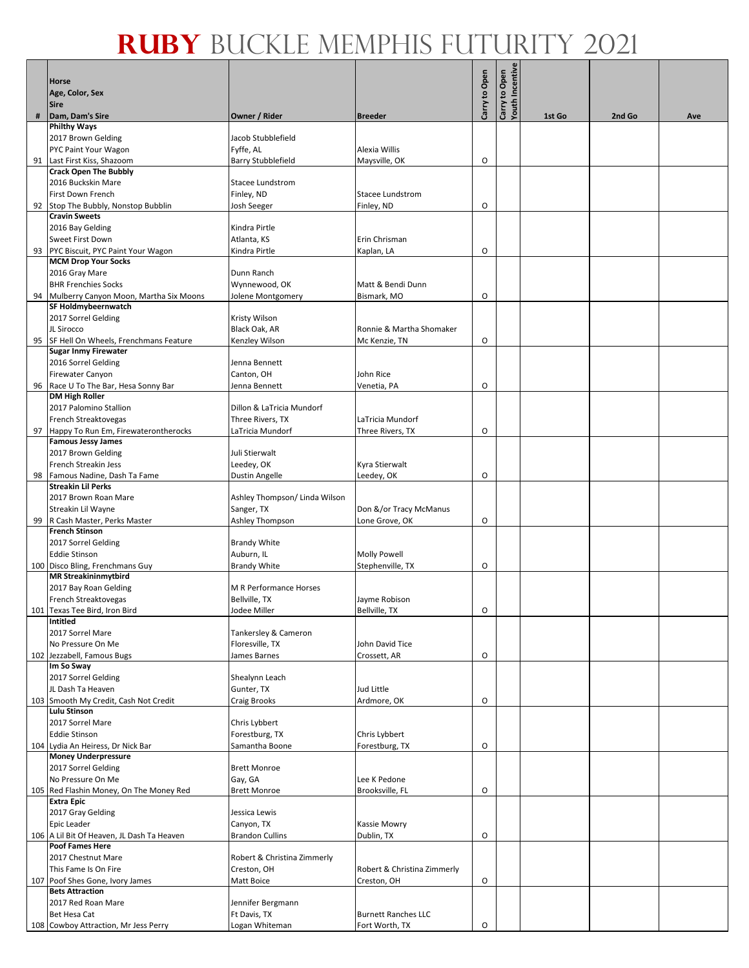|   |                                                                      |                                   |                                           |               | <b>Carry to Open<br/>Youth Incentive</b> |        |        |     |
|---|----------------------------------------------------------------------|-----------------------------------|-------------------------------------------|---------------|------------------------------------------|--------|--------|-----|
|   | <b>Horse</b><br>Age, Color, Sex                                      |                                   |                                           |               |                                          |        |        |     |
|   | <b>Sire</b>                                                          |                                   |                                           | Carry to Open |                                          |        |        |     |
| # | Dam, Dam's Sire<br><b>Philthy Ways</b>                               | Owner / Rider                     | <b>Breeder</b>                            |               |                                          | 1st Go | 2nd Go | Ave |
|   | 2017 Brown Gelding                                                   | Jacob Stubblefield                |                                           |               |                                          |        |        |     |
|   | PYC Paint Your Wagon                                                 | Fyffe, AL                         | Alexia Willis                             |               |                                          |        |        |     |
|   | 91 Last First Kiss, Shazoom                                          | <b>Barry Stubblefield</b>         | Maysville, OK                             | O             |                                          |        |        |     |
|   | <b>Crack Open The Bubbly</b><br>2016 Buckskin Mare                   | <b>Stacee Lundstrom</b>           |                                           |               |                                          |        |        |     |
|   | First Down French                                                    | Finley, ND                        | <b>Stacee Lundstrom</b>                   |               |                                          |        |        |     |
|   | 92 Stop The Bubbly, Nonstop Bubblin                                  | Josh Seeger                       | Finley, ND                                | O             |                                          |        |        |     |
|   | <b>Cravin Sweets</b><br>2016 Bay Gelding                             | Kindra Pirtle                     |                                           |               |                                          |        |        |     |
|   | Sweet First Down                                                     | Atlanta, KS                       | Erin Chrisman                             |               |                                          |        |        |     |
|   | 93 PYC Biscuit, PYC Paint Your Wagon                                 | Kindra Pirtle                     | Kaplan, LA                                | O             |                                          |        |        |     |
|   | <b>MCM Drop Your Socks</b>                                           |                                   |                                           |               |                                          |        |        |     |
|   | 2016 Gray Mare<br><b>BHR Frenchies Socks</b>                         | Dunn Ranch<br>Wynnewood, OK       | Matt & Bendi Dunn                         |               |                                          |        |        |     |
|   | 94 Mulberry Canyon Moon, Martha Six Moons                            | Jolene Montgomery                 | Bismark, MO                               | O             |                                          |        |        |     |
|   | <b>SF Holdmybeernwatch</b>                                           |                                   |                                           |               |                                          |        |        |     |
|   | 2017 Sorrel Gelding                                                  | Kristy Wilson                     |                                           |               |                                          |        |        |     |
|   | JL Sirocco<br>95 SF Hell On Wheels, Frenchmans Feature               | Black Oak, AR<br>Kenzley Wilson   | Ronnie & Martha Shomaker<br>Mc Kenzie, TN | O             |                                          |        |        |     |
|   | <b>Sugar Inmy Firewater</b>                                          |                                   |                                           |               |                                          |        |        |     |
|   | 2016 Sorrel Gelding                                                  | Jenna Bennett                     |                                           |               |                                          |        |        |     |
|   | <b>Firewater Canyon</b>                                              | Canton, OH                        | John Rice                                 |               |                                          |        |        |     |
|   | 96 Race U To The Bar, Hesa Sonny Bar<br><b>DM High Roller</b>        | Jenna Bennett                     | Venetia, PA                               | O             |                                          |        |        |     |
|   | 2017 Palomino Stallion                                               | Dillon & LaTricia Mundorf         |                                           |               |                                          |        |        |     |
|   | French Streaktovegas                                                 | Three Rivers, TX                  | LaTricia Mundorf                          |               |                                          |        |        |     |
|   | 97 Happy To Run Em, Firewaterontherocks<br><b>Famous Jessy James</b> | LaTricia Mundorf                  | Three Rivers, TX                          | O             |                                          |        |        |     |
|   | 2017 Brown Gelding                                                   | Juli Stierwalt                    |                                           |               |                                          |        |        |     |
|   | French Streakin Jess                                                 | Leedey, OK                        | Kyra Stierwalt                            |               |                                          |        |        |     |
|   | 98 Famous Nadine, Dash Ta Fame                                       | Dustin Angelle                    | Leedey, OK                                | O             |                                          |        |        |     |
|   | <b>Streakin Lil Perks</b><br>2017 Brown Roan Mare                    | Ashley Thompson/ Linda Wilson     |                                           |               |                                          |        |        |     |
|   | Streakin Lil Wayne                                                   | Sanger, TX                        | Don &/or Tracy McManus                    |               |                                          |        |        |     |
|   | 99 R Cash Master, Perks Master                                       | Ashley Thompson                   | Lone Grove, OK                            | O             |                                          |        |        |     |
|   | <b>French Stinson</b>                                                |                                   |                                           |               |                                          |        |        |     |
|   | 2017 Sorrel Gelding<br><b>Eddie Stinson</b>                          | <b>Brandy White</b><br>Auburn, IL | <b>Molly Powell</b>                       |               |                                          |        |        |     |
|   | 100 Disco Bling, Frenchmans Guy                                      | <b>Brandy White</b>               | Stephenville, TX                          | O             |                                          |        |        |     |
|   | <b>MR Streakininmytbird</b>                                          |                                   |                                           |               |                                          |        |        |     |
|   | 2017 Bay Roan Gelding                                                | M R Performance Horses            |                                           |               |                                          |        |        |     |
|   | French Streaktovegas<br>101 Texas Tee Bird, Iron Bird                | Bellville, TX<br>Jodee Miller     | Jayme Robison<br>Bellville, TX            | О             |                                          |        |        |     |
|   | <b>Intitled</b>                                                      |                                   |                                           |               |                                          |        |        |     |
|   | 2017 Sorrel Mare                                                     | Tankersley & Cameron              |                                           |               |                                          |        |        |     |
|   | No Pressure On Me<br>102 Jezzabell, Famous Bugs                      | Floresville, TX<br>James Barnes   | John David Tice<br>Crossett, AR           | O             |                                          |        |        |     |
|   | Im So Sway                                                           |                                   |                                           |               |                                          |        |        |     |
|   | 2017 Sorrel Gelding                                                  | Shealynn Leach                    |                                           |               |                                          |        |        |     |
|   | JL Dash Ta Heaven<br>103 Smooth My Credit, Cash Not Credit           | Gunter, TX<br>Craig Brooks        | Jud Little                                | O             |                                          |        |        |     |
|   | <b>Lulu Stinson</b>                                                  |                                   | Ardmore, OK                               |               |                                          |        |        |     |
|   | 2017 Sorrel Mare                                                     | Chris Lybbert                     |                                           |               |                                          |        |        |     |
|   | <b>Eddie Stinson</b>                                                 | Forestburg, TX                    | Chris Lybbert                             |               |                                          |        |        |     |
|   | 104 Lydia An Heiress, Dr Nick Bar<br><b>Money Underpressure</b>      | Samantha Boone                    | Forestburg, TX                            | O             |                                          |        |        |     |
|   | 2017 Sorrel Gelding                                                  | <b>Brett Monroe</b>               |                                           |               |                                          |        |        |     |
|   | No Pressure On Me                                                    | Gay, GA                           | Lee K Pedone                              |               |                                          |        |        |     |
|   | 105 Red Flashin Money, On The Money Red                              | <b>Brett Monroe</b>               | Brooksville, FL                           | O             |                                          |        |        |     |
|   | <b>Extra Epic</b><br>2017 Gray Gelding                               | Jessica Lewis                     |                                           |               |                                          |        |        |     |
|   | <b>Epic Leader</b>                                                   | Canyon, TX                        | Kassie Mowry                              |               |                                          |        |        |     |
|   | 106 A Lil Bit Of Heaven, JL Dash Ta Heaven                           | <b>Brandon Cullins</b>            | Dublin, TX                                | O             |                                          |        |        |     |
|   | <b>Poof Fames Here</b><br>2017 Chestnut Mare                         | Robert & Christina Zimmerly       |                                           |               |                                          |        |        |     |
|   | This Fame Is On Fire                                                 | Creston, OH                       | Robert & Christina Zimmerly               |               |                                          |        |        |     |
|   | 107 Poof Shes Gone, Ivory James                                      | Matt Boice                        | Creston, OH                               | O             |                                          |        |        |     |
|   | <b>Bets Attraction</b>                                               |                                   |                                           |               |                                          |        |        |     |
|   | 2017 Red Roan Mare<br>Bet Hesa Cat                                   | Jennifer Bergmann<br>Ft Davis, TX | <b>Burnett Ranches LLC</b>                |               |                                          |        |        |     |
|   | 108 Cowboy Attraction, Mr Jess Perry                                 | Logan Whiteman                    | Fort Worth, TX                            | O             |                                          |        |        |     |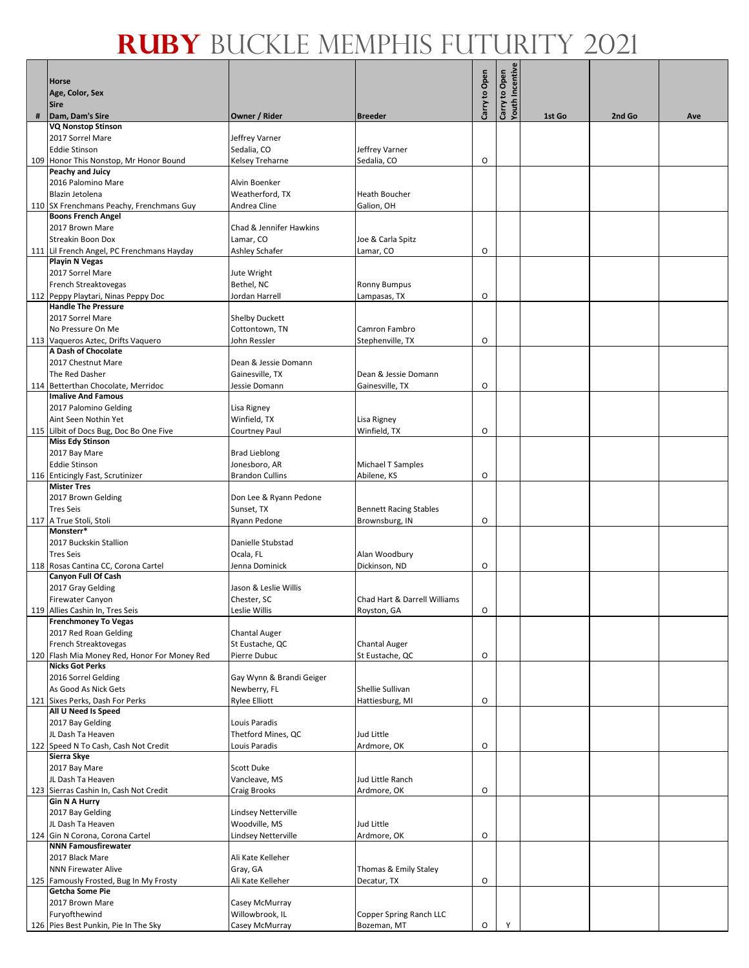|     | Horse                                                                  |                                         |                                             |               |                                  |        |        |     |
|-----|------------------------------------------------------------------------|-----------------------------------------|---------------------------------------------|---------------|----------------------------------|--------|--------|-----|
|     | Age, Color, Sex<br>Sire                                                |                                         |                                             | Carry to Open | Carry to Open<br>Youth Incentive |        |        |     |
| #   | Dam, Dam's Sire                                                        | Owner / Rider                           | <b>Breeder</b>                              |               |                                  | 1st Go | 2nd Go | Ave |
|     | <b>VQ Nonstop Stinson</b>                                              |                                         |                                             |               |                                  |        |        |     |
|     | 2017 Sorrel Mare<br><b>Eddie Stinson</b>                               | Jeffrey Varner<br>Sedalia, CO           | Jeffrey Varner                              |               |                                  |        |        |     |
|     | 109 Honor This Nonstop, Mr Honor Bound                                 | Kelsey Treharne                         | Sedalia, CO                                 | O             |                                  |        |        |     |
|     | Peachy and Juicy                                                       |                                         |                                             |               |                                  |        |        |     |
|     | 2016 Palomino Mare                                                     | Alvin Boenker                           |                                             |               |                                  |        |        |     |
|     | Blazin Jetolena                                                        | Weatherford, TX                         | <b>Heath Boucher</b>                        |               |                                  |        |        |     |
|     | 110 SX Frenchmans Peachy, Frenchmans Guy<br><b>Boons French Angel</b>  | Andrea Cline                            | Galion, OH                                  |               |                                  |        |        |     |
|     | 2017 Brown Mare                                                        | Chad & Jennifer Hawkins                 |                                             |               |                                  |        |        |     |
|     | <b>Streakin Boon Dox</b>                                               | Lamar, CO                               | Joe & Carla Spitz                           |               |                                  |        |        |     |
|     | 111 Lil French Angel, PC Frenchmans Hayday                             | Ashley Schafer                          | Lamar, CO                                   | O             |                                  |        |        |     |
|     | <b>Playin N Vegas</b><br>2017 Sorrel Mare                              | Jute Wright                             |                                             |               |                                  |        |        |     |
|     | French Streaktovegas                                                   | Bethel, NC                              | <b>Ronny Bumpus</b>                         |               |                                  |        |        |     |
|     | 112 Peppy Playtari, Ninas Peppy Doc                                    | Jordan Harrell                          | Lampasas, TX                                | O             |                                  |        |        |     |
|     | <b>Handle The Pressure</b>                                             |                                         |                                             |               |                                  |        |        |     |
|     | 2017 Sorrel Mare<br>No Pressure On Me                                  | <b>Shelby Duckett</b><br>Cottontown, TN | Camron Fambro                               |               |                                  |        |        |     |
|     | 113 Vaqueros Aztec, Drifts Vaquero                                     | John Ressler                            | Stephenville, TX                            | O             |                                  |        |        |     |
|     | A Dash of Chocolate                                                    |                                         |                                             |               |                                  |        |        |     |
|     | 2017 Chestnut Mare                                                     | Dean & Jessie Domann                    |                                             |               |                                  |        |        |     |
|     | The Red Dasher<br>114 Betterthan Chocolate, Merridoc                   | Gainesville, TX<br>Jessie Domann        | Dean & Jessie Domann<br>Gainesville, TX     | O             |                                  |        |        |     |
|     | <b>Imalive And Famous</b>                                              |                                         |                                             |               |                                  |        |        |     |
|     | 2017 Palomino Gelding                                                  | Lisa Rigney                             |                                             |               |                                  |        |        |     |
|     | Aint Seen Nothin Yet                                                   | Winfield, TX                            | Lisa Rigney                                 |               |                                  |        |        |     |
|     | 115 Lilbit of Docs Bug, Doc Bo One Five<br><b>Miss Edy Stinson</b>     | Courtney Paul                           | Winfield, TX                                | O             |                                  |        |        |     |
|     | 2017 Bay Mare                                                          | <b>Brad Lieblong</b>                    |                                             |               |                                  |        |        |     |
|     | <b>Eddie Stinson</b>                                                   | Jonesboro, AR                           | Michael T Samples                           |               |                                  |        |        |     |
|     | 116 Enticingly Fast, Scrutinizer                                       | <b>Brandon Cullins</b>                  | Abilene, KS                                 | O             |                                  |        |        |     |
|     | <b>Mister Tres</b><br>2017 Brown Gelding                               | Don Lee & Ryann Pedone                  |                                             |               |                                  |        |        |     |
|     | <b>Tres Seis</b>                                                       | Sunset, TX                              | <b>Bennett Racing Stables</b>               |               |                                  |        |        |     |
| 117 | A True Stoli, Stoli                                                    | Ryann Pedone                            | Brownsburg, IN                              | O             |                                  |        |        |     |
|     | Monsterr*                                                              |                                         |                                             |               |                                  |        |        |     |
|     | 2017 Buckskin Stallion<br><b>Tres Seis</b>                             | Danielle Stubstad<br>Ocala, FL          | Alan Woodbury                               |               |                                  |        |        |     |
|     | 118 Rosas Cantina CC, Corona Cartel                                    | Jenna Dominick                          | Dickinson, ND                               | O             |                                  |        |        |     |
|     | Canyon Full Of Cash                                                    |                                         |                                             |               |                                  |        |        |     |
|     | 2017 Gray Gelding                                                      | Jason & Leslie Willis                   |                                             |               |                                  |        |        |     |
|     | <b>Firewater Canyon</b><br>119 Allies Cashin In, Tres Seis             | Chester, SC<br>Leslie Willis            | Chad Hart & Darrell Williams<br>Royston, GA | O             |                                  |        |        |     |
|     | <b>Frenchmoney To Vegas</b>                                            |                                         |                                             |               |                                  |        |        |     |
|     | 2017 Red Roan Gelding                                                  | <b>Chantal Auger</b>                    |                                             |               |                                  |        |        |     |
|     | French Streaktovegas                                                   | St Eustache, QC                         | <b>Chantal Auger</b>                        |               |                                  |        |        |     |
|     | 120 Flash Mia Money Red, Honor For Money Red<br><b>Nicks Got Perks</b> | Pierre Dubuc                            | St Eustache, QC                             | O             |                                  |        |        |     |
|     | 2016 Sorrel Gelding                                                    | Gay Wynn & Brandi Geiger                |                                             |               |                                  |        |        |     |
|     | As Good As Nick Gets                                                   | Newberry, FL                            | Shellie Sullivan                            |               |                                  |        |        |     |
|     | 121 Sixes Perks, Dash For Perks<br>All U Need Is Speed                 | <b>Rylee Elliott</b>                    | Hattiesburg, MI                             | O             |                                  |        |        |     |
|     | 2017 Bay Gelding                                                       | Louis Paradis                           |                                             |               |                                  |        |        |     |
|     | JL Dash Ta Heaven                                                      | Thetford Mines, QC                      | Jud Little                                  |               |                                  |        |        |     |
|     | 122 Speed N To Cash, Cash Not Credit                                   | Louis Paradis                           | Ardmore, OK                                 | O             |                                  |        |        |     |
|     | Sierra Skye<br>2017 Bay Mare                                           | Scott Duke                              |                                             |               |                                  |        |        |     |
|     | JL Dash Ta Heaven                                                      | Vancleave, MS                           | Jud Little Ranch                            |               |                                  |        |        |     |
|     | 123 Sierras Cashin In, Cash Not Credit                                 | Craig Brooks                            | Ardmore, OK                                 | O             |                                  |        |        |     |
|     | <b>Gin N A Hurry</b>                                                   |                                         |                                             |               |                                  |        |        |     |
|     | 2017 Bay Gelding<br>JL Dash Ta Heaven                                  | Lindsey Netterville<br>Woodville, MS    | Jud Little                                  |               |                                  |        |        |     |
| 124 | Gin N Corona, Corona Cartel                                            | Lindsey Netterville                     | Ardmore, OK                                 | O             |                                  |        |        |     |
|     | <b>NNN Famousfirewater</b>                                             |                                         |                                             |               |                                  |        |        |     |
|     | 2017 Black Mare                                                        | Ali Kate Kelleher                       |                                             |               |                                  |        |        |     |
|     | <b>NNN Firewater Alive</b>                                             | Gray, GA<br>Ali Kate Kelleher           | Thomas & Emily Staley<br>Decatur, TX        | O             |                                  |        |        |     |
| 125 | Famously Frosted, Bug In My Frosty<br>Getcha Some Pie                  |                                         |                                             |               |                                  |        |        |     |
|     | 2017 Brown Mare                                                        | Casey McMurray                          |                                             |               |                                  |        |        |     |
|     | Furyofthewind                                                          | Willowbrook, IL                         | Copper Spring Ranch LLC                     |               |                                  |        |        |     |
|     | 126 Pies Best Punkin, Pie In The Sky                                   | Casey McMurray                          | Bozeman, MT                                 | O             |                                  |        |        |     |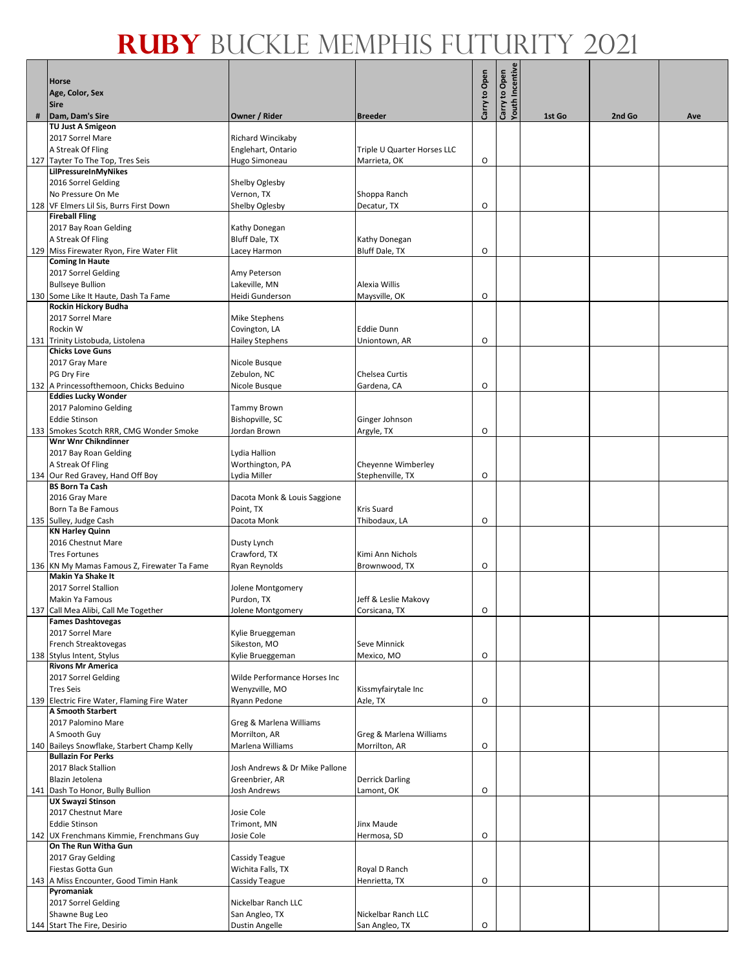|     | Horse<br>Age, Color, Sex                                         |                                       |                                 | Carry to Open | <b>Youth Incentive</b><br>Carry to Open |        |        |     |
|-----|------------------------------------------------------------------|---------------------------------------|---------------------------------|---------------|-----------------------------------------|--------|--------|-----|
|     | Sire                                                             |                                       |                                 |               |                                         |        |        |     |
| #   | Dam, Dam's Sire<br><b>TU Just A Smigeon</b>                      | Owner / Rider                         | <b>Breeder</b>                  |               |                                         | 1st Go | 2nd Go | Ave |
|     | 2017 Sorrel Mare                                                 | Richard Wincikaby                     |                                 |               |                                         |        |        |     |
|     | A Streak Of Fling                                                | Englehart, Ontario                    | Triple U Quarter Horses LLC     |               |                                         |        |        |     |
|     | 127 Tayter To The Top, Tres Seis                                 | Hugo Simoneau                         | Marrieta, OK                    | O             |                                         |        |        |     |
|     | LilPressureInMyNikes<br>2016 Sorrel Gelding                      |                                       |                                 |               |                                         |        |        |     |
|     | No Pressure On Me                                                | Shelby Oglesby<br>Vernon, TX          | Shoppa Ranch                    |               |                                         |        |        |     |
|     | 128 VF Elmers Lil Sis, Burrs First Down                          | Shelby Oglesby                        | Decatur, TX                     | O             |                                         |        |        |     |
|     | <b>Fireball Fling</b>                                            |                                       |                                 |               |                                         |        |        |     |
|     | 2017 Bay Roan Gelding                                            | Kathy Donegan                         |                                 |               |                                         |        |        |     |
| 129 | A Streak Of Fling<br>Miss Firewater Ryon, Fire Water Flit        | <b>Bluff Dale, TX</b><br>Lacey Harmon | Kathy Donegan<br>Bluff Dale, TX | O             |                                         |        |        |     |
|     | <b>Coming In Haute</b>                                           |                                       |                                 |               |                                         |        |        |     |
|     | 2017 Sorrel Gelding                                              | Amy Peterson                          |                                 |               |                                         |        |        |     |
|     | <b>Bullseye Bullion</b>                                          | Lakeville, MN                         | Alexia Willis                   |               |                                         |        |        |     |
|     | 130 Some Like It Haute, Dash Ta Fame<br>Rockin Hickory Budha     | Heidi Gunderson                       | Maysville, OK                   | O             |                                         |        |        |     |
|     | 2017 Sorrel Mare                                                 | Mike Stephens                         |                                 |               |                                         |        |        |     |
|     | Rockin W                                                         | Covington, LA                         | <b>Eddie Dunn</b>               |               |                                         |        |        |     |
|     | 131 Trinity Listobuda, Listolena                                 | <b>Hailey Stephens</b>                | Uniontown, AR                   | O             |                                         |        |        |     |
|     | <b>Chicks Love Guns</b><br>2017 Gray Mare                        | Nicole Busque                         |                                 |               |                                         |        |        |     |
|     | PG Dry Fire                                                      | Zebulon, NC                           | <b>Chelsea Curtis</b>           |               |                                         |        |        |     |
|     | 132 A Princessofthemoon, Chicks Beduino                          | Nicole Busque                         | Gardena, CA                     | O             |                                         |        |        |     |
|     | <b>Eddies Lucky Wonder</b>                                       |                                       |                                 |               |                                         |        |        |     |
|     | 2017 Palomino Gelding<br><b>Eddie Stinson</b>                    | Tammy Brown                           |                                 |               |                                         |        |        |     |
|     | 133 Smokes Scotch RRR, CMG Wonder Smoke                          | Bishopville, SC<br>Jordan Brown       | Ginger Johnson<br>Argyle, TX    | O             |                                         |        |        |     |
|     | <b>Wnr Wnr Chikndinner</b>                                       |                                       |                                 |               |                                         |        |        |     |
|     | 2017 Bay Roan Gelding                                            | Lydia Hallion                         |                                 |               |                                         |        |        |     |
|     | A Streak Of Fling                                                | Worthington, PA                       | Cheyenne Wimberley              |               |                                         |        |        |     |
|     | 134 Our Red Gravey, Hand Off Boy<br><b>BS Born Ta Cash</b>       | Lydia Miller                          | Stephenville, TX                | O             |                                         |        |        |     |
|     | 2016 Gray Mare                                                   | Dacota Monk & Louis Saggione          |                                 |               |                                         |        |        |     |
|     | Born Ta Be Famous                                                | Point, TX                             | <b>Kris Suard</b>               |               |                                         |        |        |     |
|     | 135 Sulley, Judge Cash                                           | Dacota Monk                           | Thibodaux, LA                   | O             |                                         |        |        |     |
|     | <b>KN Harley Quinn</b><br>2016 Chestnut Mare                     | Dusty Lynch                           |                                 |               |                                         |        |        |     |
|     | <b>Tres Fortunes</b>                                             | Crawford, TX                          | Kimi Ann Nichols                |               |                                         |        |        |     |
|     | 136 KN My Mamas Famous Z, Firewater Ta Fame                      | Ryan Reynolds                         | Brownwood, TX                   | O             |                                         |        |        |     |
|     | <b>Makin Ya Shake It</b>                                         |                                       |                                 |               |                                         |        |        |     |
|     | 2017 Sorrel Stallion<br>Makin Ya Famous                          | Jolene Montgomery<br>Purdon, TX       | Jeff & Leslie Makovy            |               |                                         |        |        |     |
|     | 137 Call Mea Alibi, Call Me Together                             | Jolene Montgomery                     | Corsicana, TX                   | О             |                                         |        |        |     |
|     | <b>Fames Dashtovegas</b>                                         |                                       |                                 |               |                                         |        |        |     |
|     | 2017 Sorrel Mare                                                 | Kylie Brueggeman                      |                                 |               |                                         |        |        |     |
|     | French Streaktovegas                                             | Sikeston, MO                          | Seve Minnick                    |               |                                         |        |        |     |
|     | 138 Stylus Intent, Stylus<br><b>Rivons Mr America</b>            | Kylie Brueggeman                      | Mexico, MO                      | O             |                                         |        |        |     |
|     | 2017 Sorrel Gelding                                              | Wilde Performance Horses Inc          |                                 |               |                                         |        |        |     |
|     | <b>Tres Seis</b>                                                 | Wenyzville, MO                        | Kissmyfairytale Inc             |               |                                         |        |        |     |
|     | 139 Electric Fire Water, Flaming Fire Water<br>A Smooth Starbert | Ryann Pedone                          | Azle, TX                        | O             |                                         |        |        |     |
|     | 2017 Palomino Mare                                               | Greg & Marlena Williams               |                                 |               |                                         |        |        |     |
|     | A Smooth Guy                                                     | Morrilton, AR                         | Greg & Marlena Williams         |               |                                         |        |        |     |
|     | 140 Baileys Snowflake, Starbert Champ Kelly                      | Marlena Williams                      | Morrilton, AR                   | O             |                                         |        |        |     |
|     | <b>Bullazin For Perks</b><br>2017 Black Stallion                 | Josh Andrews & Dr Mike Pallone        |                                 |               |                                         |        |        |     |
|     | Blazin Jetolena                                                  | Greenbrier, AR                        | <b>Derrick Darling</b>          |               |                                         |        |        |     |
|     | 141 Dash To Honor, Bully Bullion                                 | Josh Andrews                          | Lamont, OK                      | O             |                                         |        |        |     |
|     | <b>UX Swayzi Stinson</b>                                         |                                       |                                 |               |                                         |        |        |     |
|     | 2017 Chestnut Mare<br><b>Eddie Stinson</b>                       | Josie Cole<br>Trimont, MN             | Jinx Maude                      |               |                                         |        |        |     |
|     | 142 UX Frenchmans Kimmie, Frenchmans Guy                         | Josie Cole                            | Hermosa, SD                     | O             |                                         |        |        |     |
|     | On The Run Witha Gun                                             |                                       |                                 |               |                                         |        |        |     |
|     | 2017 Gray Gelding                                                | Cassidy Teague                        |                                 |               |                                         |        |        |     |
|     | Fiestas Gotta Gun                                                | Wichita Falls, TX                     | Royal D Ranch                   |               |                                         |        |        |     |
| 143 | A Miss Encounter, Good Timin Hank<br>Pyromaniak                  | Cassidy Teague                        | Henrietta, TX                   | O             |                                         |        |        |     |
|     | 2017 Sorrel Gelding                                              | Nickelbar Ranch LLC                   |                                 |               |                                         |        |        |     |
|     | Shawne Bug Leo                                                   | San Angleo, TX                        | Nickelbar Ranch LLC             |               |                                         |        |        |     |
|     | 144 Start The Fire, Desirio                                      | Dustin Angelle                        | San Angleo, TX                  | O             |                                         |        |        |     |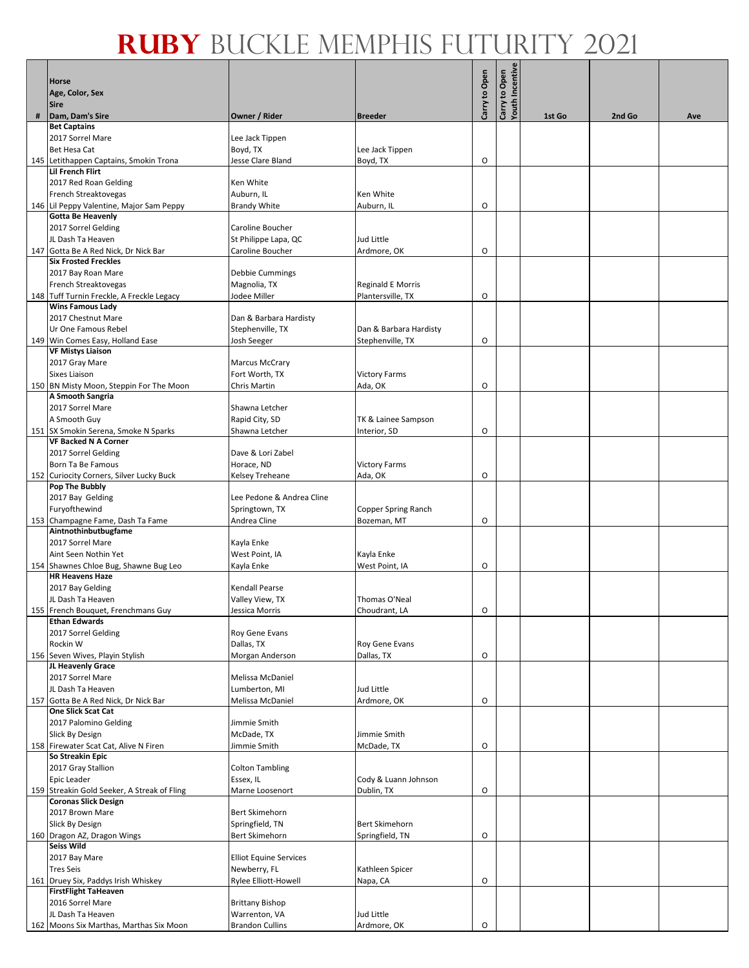|   | <b>Horse</b>                                                      |                                          |                                    | Carry to Open | Carry to Open<br>Youth Incentive |        |        |     |
|---|-------------------------------------------------------------------|------------------------------------------|------------------------------------|---------------|----------------------------------|--------|--------|-----|
|   | Age, Color, Sex<br><b>Sire</b>                                    |                                          |                                    |               |                                  |        |        |     |
| # | Dam, Dam's Sire                                                   | Owner / Rider                            | <b>Breeder</b>                     |               |                                  | 1st Go | 2nd Go | Ave |
|   | <b>Bet Captains</b><br>2017 Sorrel Mare                           | Lee Jack Tippen                          |                                    |               |                                  |        |        |     |
|   | <b>Bet Hesa Cat</b>                                               | Boyd, TX                                 | Lee Jack Tippen                    |               |                                  |        |        |     |
|   | 145 Letithappen Captains, Smokin Trona                            | Jesse Clare Bland                        | Boyd, TX                           | O             |                                  |        |        |     |
|   | Lil French Flirt                                                  |                                          |                                    |               |                                  |        |        |     |
|   | 2017 Red Roan Gelding<br>French Streaktovegas                     | Ken White<br>Auburn, IL                  | Ken White                          |               |                                  |        |        |     |
|   | 146 Lil Peppy Valentine, Major Sam Peppy                          | <b>Brandy White</b>                      | Auburn, IL                         | O             |                                  |        |        |     |
|   | <b>Gotta Be Heavenly</b>                                          |                                          |                                    |               |                                  |        |        |     |
|   | 2017 Sorrel Gelding<br>JL Dash Ta Heaven                          | Caroline Boucher                         |                                    |               |                                  |        |        |     |
|   | 147 Gotta Be A Red Nick, Dr Nick Bar                              | St Philippe Lapa, QC<br>Caroline Boucher | Jud Little<br>Ardmore, OK          | O             |                                  |        |        |     |
|   | <b>Six Frosted Freckles</b>                                       |                                          |                                    |               |                                  |        |        |     |
|   | 2017 Bay Roan Mare                                                | Debbie Cummings                          |                                    |               |                                  |        |        |     |
|   | French Streaktovegas<br>148 Tuff Turnin Freckle, A Freckle Legacy | Magnolia, TX<br>Jodee Miller             | Reginald E Morris                  | O             |                                  |        |        |     |
|   | <b>Wins Famous Lady</b>                                           |                                          | Plantersville, TX                  |               |                                  |        |        |     |
|   | 2017 Chestnut Mare                                                | Dan & Barbara Hardisty                   |                                    |               |                                  |        |        |     |
|   | Ur One Famous Rebel                                               | Stephenville, TX                         | Dan & Barbara Hardisty             |               |                                  |        |        |     |
|   | 149 Win Comes Easy, Holland Ease<br><b>VF Mistys Liaison</b>      | Josh Seeger                              | Stephenville, TX                   | O             |                                  |        |        |     |
|   | 2017 Gray Mare                                                    | <b>Marcus McCrary</b>                    |                                    |               |                                  |        |        |     |
|   | <b>Sixes Liaison</b>                                              | Fort Worth, TX                           | <b>Victory Farms</b>               |               |                                  |        |        |     |
|   | 150 BN Misty Moon, Steppin For The Moon                           | Chris Martin                             | Ada, OK                            | O             |                                  |        |        |     |
|   | A Smooth Sangria<br>2017 Sorrel Mare                              | Shawna Letcher                           |                                    |               |                                  |        |        |     |
|   | A Smooth Guy                                                      | Rapid City, SD                           | TK & Lainee Sampson                |               |                                  |        |        |     |
|   | 151 SX Smokin Serena, Smoke N Sparks                              | Shawna Letcher                           | Interior, SD                       | O             |                                  |        |        |     |
|   | <b>VF Backed N A Corner</b>                                       |                                          |                                    |               |                                  |        |        |     |
|   | 2017 Sorrel Gelding<br>Born Ta Be Famous                          | Dave & Lori Zabel<br>Horace, ND          | <b>Victory Farms</b>               |               |                                  |        |        |     |
|   | 152 Curiocity Corners, Silver Lucky Buck                          | Kelsey Treheane                          | Ada, OK                            | O             |                                  |        |        |     |
|   | Pop The Bubbly                                                    |                                          |                                    |               |                                  |        |        |     |
|   | 2017 Bay Gelding                                                  | Lee Pedone & Andrea Cline                |                                    |               |                                  |        |        |     |
|   | Furyofthewind<br>153 Champagne Fame, Dash Ta Fame                 | Springtown, TX<br>Andrea Cline           | Copper Spring Ranch<br>Bozeman, MT | O             |                                  |        |        |     |
|   | Aintnothinbutbugfame                                              |                                          |                                    |               |                                  |        |        |     |
|   | 2017 Sorrel Mare                                                  | Kayla Enke                               |                                    |               |                                  |        |        |     |
|   | Aint Seen Nothin Yet<br>154 Shawnes Chloe Bug, Shawne Bug Leo     | West Point, IA<br>Kayla Enke             | Kayla Enke<br>West Point, IA       | O             |                                  |        |        |     |
|   | <b>HR Heavens Haze</b>                                            |                                          |                                    |               |                                  |        |        |     |
|   | 2017 Bay Gelding                                                  | Kendall Pearse                           |                                    |               |                                  |        |        |     |
|   | JL Dash Ta Heaven                                                 | Valley View, TX                          | Thomas O'Neal                      |               |                                  |        |        |     |
|   | 155 French Bouquet, Frenchmans Guy<br><b>Ethan Edwards</b>        | Jessica Morris                           | Choudrant, LA                      | О             |                                  |        |        |     |
|   | 2017 Sorrel Gelding                                               | Roy Gene Evans                           |                                    |               |                                  |        |        |     |
|   | Rockin W                                                          | Dallas, TX                               | Roy Gene Evans                     |               |                                  |        |        |     |
|   | 156 Seven Wives, Playin Stylish<br>JL Heavenly Grace              | Morgan Anderson                          | Dallas, TX                         | O             |                                  |        |        |     |
|   | 2017 Sorrel Mare                                                  | Melissa McDaniel                         |                                    |               |                                  |        |        |     |
|   | JL Dash Ta Heaven                                                 | Lumberton, MI                            | Jud Little                         |               |                                  |        |        |     |
|   | 157 Gotta Be A Red Nick, Dr Nick Bar                              | Melissa McDaniel                         | Ardmore, OK                        | O             |                                  |        |        |     |
|   | <b>One Slick Scat Cat</b><br>2017 Palomino Gelding                | Jimmie Smith                             |                                    |               |                                  |        |        |     |
|   | Slick By Design                                                   | McDade, TX                               | Jimmie Smith                       |               |                                  |        |        |     |
|   | 158 Firewater Scat Cat, Alive N Firen                             | Jimmie Smith                             | McDade, TX                         | O             |                                  |        |        |     |
|   | So Streakin Epic                                                  |                                          |                                    |               |                                  |        |        |     |
|   | 2017 Gray Stallion<br>Epic Leader                                 | <b>Colton Tambling</b><br>Essex, IL      | Cody & Luann Johnson               |               |                                  |        |        |     |
|   | 159 Streakin Gold Seeker, A Streak of Fling                       | Marne Loosenort                          | Dublin, TX                         | O             |                                  |        |        |     |
|   | <b>Coronas Slick Design</b>                                       |                                          |                                    |               |                                  |        |        |     |
|   | 2017 Brown Mare<br>Slick By Design                                | Bert Skimehorn<br>Springfield, TN        | Bert Skimehorn                     |               |                                  |        |        |     |
|   | 160 Dragon AZ, Dragon Wings                                       | Bert Skimehorn                           | Springfield, TN                    | O             |                                  |        |        |     |
|   | <b>Seiss Wild</b>                                                 |                                          |                                    |               |                                  |        |        |     |
|   | 2017 Bay Mare                                                     | <b>Elliot Equine Services</b>            |                                    |               |                                  |        |        |     |
|   | <b>Tres Seis</b><br>161 Druey Six, Paddys Irish Whiskey           | Newberry, FL<br>Rylee Elliott-Howell     | Kathleen Spicer<br>Napa, CA        | O             |                                  |        |        |     |
|   | <b>FirstFlight TaHeaven</b>                                       |                                          |                                    |               |                                  |        |        |     |
|   | 2016 Sorrel Mare                                                  | <b>Brittany Bishop</b>                   |                                    |               |                                  |        |        |     |
|   | JL Dash Ta Heaven                                                 | Warrenton, VA                            | Jud Little                         |               |                                  |        |        |     |
|   | 162 Moons Six Marthas, Marthas Six Moon                           | <b>Brandon Cullins</b>                   | Ardmore, OK                        | O             |                                  |        |        |     |